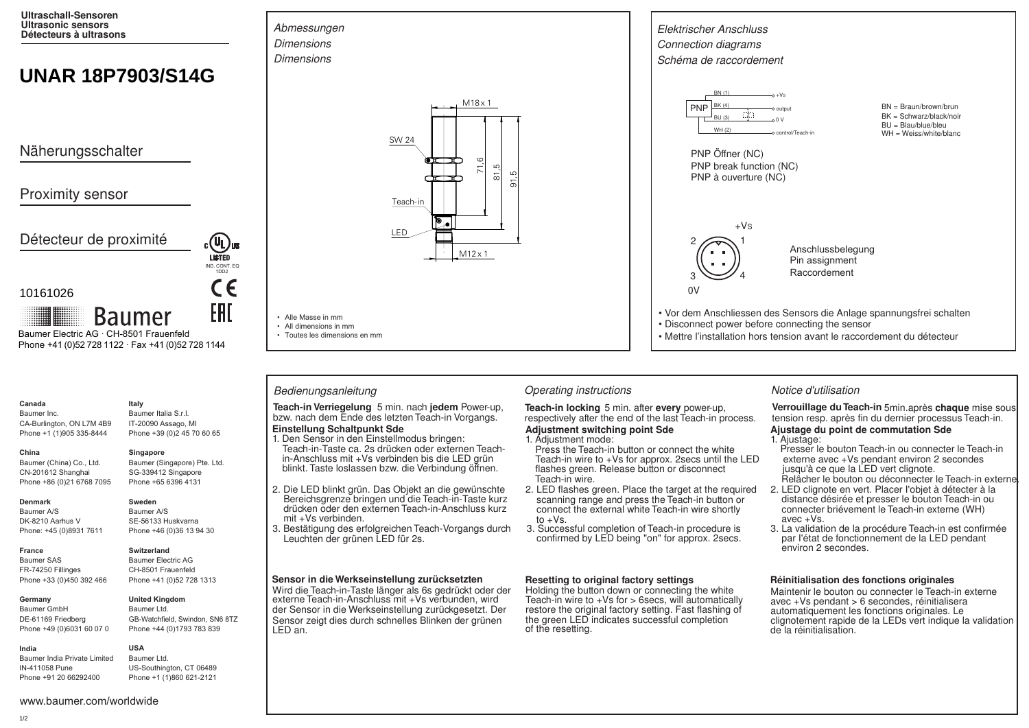**Ultraschall-Sensoren Ultrasonic sensors Détecteurs à ultrasons**

# **UNAR 18P7903/S14G**

Näherungsschalter

## Proximity sensor

Détecteur de proximité

### 10161026

**Baumer** Baumer Electric AG · CH-8501 Frauenfeld Phone +41 (0)52 728 1122 · Fax +41 (0)52 728 1144

# **Canada**

Baumer Inc. CA-Burlington, ON L7M 4B9 Phone +1 (1)905 335-8444

Baumer (Singapore) Pte. Ltd. SG-339412 Singapore

#### **Denmark**

**France**

**China** 

Baumer A/S DK-8210 Aarhus V Phone: +45 (0)8931 7611

Baumer (China) Co., Ltd. CN-201612 Shanghai Phone +86 (0)21 6768 7095

Baumer SAS FR-74250 Fillinges Phone +33 (0)450 392 466

### **Germany**

Baumer GmbH DE-61169 Friedberg Phone +49 (0)6031 60 07 0

# Phone +44 (0)1793 783 839

**India** Baumer India Private Limited IN-411058 Pune Phone +91 20 66292400

**Italy** Baumer Italia S.r.l. IT-20090 Assago, MI Phone +39 (0)2 45 70 60 65

IND. CONT. EQ. 1DD2

CE

EAL

**LISTED** 

#### **Singapore**

**Sweden**

Phone +65 6396 4131

Baumer A/S SE-56133 Huskvarna Phone +46 (0)36 13 94 30

### **Switzerland**

Baumer Electric AG CH-8501 Frauenfeld Phone +41 (0)52 728 1313



#### **United Kingdom** Baumer Ltd.

GB-Watchfield, Swindon, SN6 8TZ

#### **USA** Baumer Ltd.

US-Southington, CT 06489 Phone +1 (1)860 621-2121



M12 x 1

### Bedienungsanleitung **Christian Contractions** Operating instructions **Notice d'utilisation** Notice d'utilisation

• Alle Masse in mm • All dimensions in mm • Toutes les dimensions en mm

**Einstellung Schaltpunkt Sde Teach-in Verriegelung** 5 min. nach **jedem** Power-up, **Teach-in locking** 5 min. after every power-up, bzw. nach dem Ende des letzten Teach-in Vorgangs. respectively after the end of the last Teach-in provided to the last T

- Teach-in-Taste ca. 2s drücken oder externen Teachin-Anschluss mit +Vs verbinden bis die LED grün 1. Den Sensor in den Einstellmodus bringen: blinkt. Taste loslassen bzw. die Verbindung öffnen.
- 2. Die LED blinkt grün. Das Objekt an die gewünschte Bereichsgrenze bringen und die Teach-in-Taste kurz drücken oder den externen Teach-in-Anschluss kurz mit +Vs verbinden.
- 3. Bestätigung des erfolgreichen Teach-Vorgangs durch Leuchten der grünen LED für 2s.

#### **Sensor in die Werkseinstellung zurücksetzten**

Wird die Teach-in-Taste länger als 6s gedrückt oder der externe Teach-in-Anschluss mit +Vs verbunden, wird der Sensor in die Werkseinstellung zurückgesetzt. Der Sensor zeigt dies durch schnelles Blinken der grünen LED an.



respectively after the end of the last Teach-in process. **Adjustment switching point Sde**

### 1. Adjustment mode:

- Press the Teach-in button or connect the white Teach-in wire to +Vs for approx. 2secs until the LED flashes green. Release button or disconnect Teach-in wire.
- 2. LED flashes green. Place the target at the required scanning range and press the Teach-in button or connect the external white Teach-in wire shortly to  $+Vs$ .
- 3. Successful completion of Teach-in procedure is confirmed by LED being "on" for approx. 2secs.

### **Resetting to original factory settings**

Holding the button down or connecting the white Teach-in wire to  $+Vs$  for  $>$  6secs, will automatically restore the original factory setting. Fast flashing of the green LED indicates successful completion of the resetting.

Verrouillage du Teach-in 5min.après chaque mise sous tension resp. après fin du dernier processus Teach-in.

### **Ajustage du point de commutation Sde**

- 1. Ajustage:
- Presser le bouton Teach-in ou connecter le Teach-in externe avec +Vs pendant environ 2 secondes jusqu'à ce que la LED vert clignote. Relâcher le bouton ou déconnecter le Teach-in externe.
- 2. LED clignote en vert. Placer I'objet à détecter à la distance désirée et presser le bouton Teach-in ou connecter briévement le Teach-in externe (WH) avec +Vs.
- 3. La validation de la procédure Teach-in est confirmée par I'état de fonctionnement de la LED pendant environ 2 secondes.

### **Réinitialisation des fonctions originales**

Maintenir le bouton ou connecter le Teach-in externe avec +Vs pendant > 6 secondes, réinitialisera automatiquement les fonctions originales. Le clignotement rapide de la LEDs vert indique la validation de la réinitialisation.